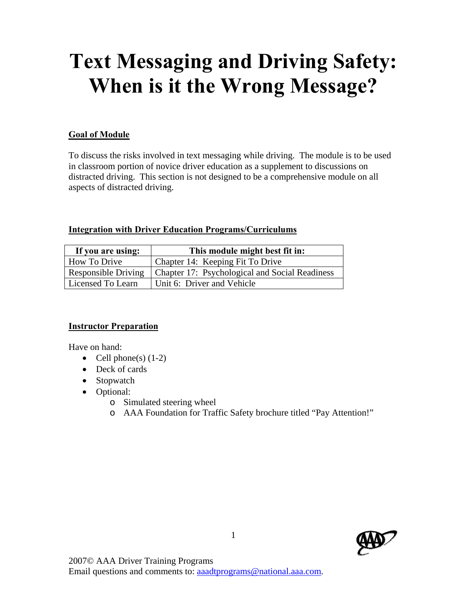# **Text Messaging and Driving Safety: When is it the Wrong Message?**

# **Goal of Module**

To discuss the risks involved in text messaging while driving. The module is to be used in classroom portion of novice driver education as a supplement to discussions on distracted driving. This section is not designed to be a comprehensive module on all aspects of distracted driving.

#### **Integration with Driver Education Programs/Curriculums**

| If you are using: | This module might best fit in:                                       |  |  |  |
|-------------------|----------------------------------------------------------------------|--|--|--|
| How To Drive      | Chapter 14: Keeping Fit To Drive                                     |  |  |  |
|                   | Responsible Driving   Chapter 17: Psychological and Social Readiness |  |  |  |
| Licensed To Learn | Unit 6: Driver and Vehicle                                           |  |  |  |

## **Instructor Preparation**

Have on hand:

- Cell phone(s)  $(1-2)$
- Deck of cards
- Stopwatch
- Optional:
	- o Simulated steering wheel
	- o AAA Foundation for Traffic Safety brochure titled "Pay Attention!"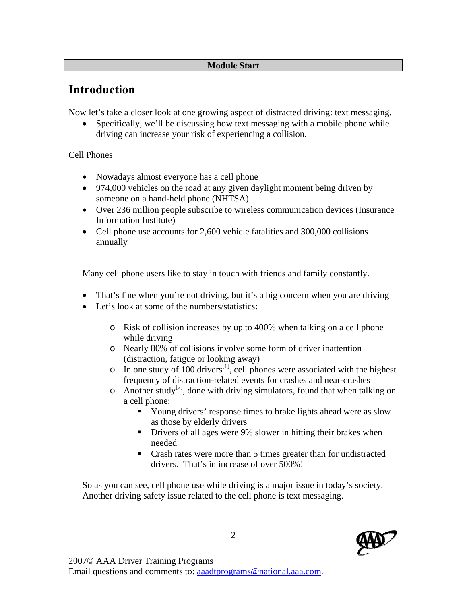## **Module Start**

# **Introduction**

Now let's take a closer look at one growing aspect of distracted driving: text messaging.

• Specifically, we'll be discussing how text messaging with a mobile phone while driving can increase your risk of experiencing a collision.

# Cell Phones

- Nowadays almost everyone has a cell phone
- 974,000 vehicles on the road at any given daylight moment being driven by someone on a hand-held phone (NHTSA)
- Over 236 million people subscribe to wireless communication devices (Insurance Information Institute)
- Cell phone use accounts for 2,600 vehicle fatalities and 300,000 collisions annually

Many cell phone users like to stay in touch with friends and family constantly.

- That's fine when you're not driving, but it's a big concern when you are driving
- Let's look at some of the numbers/statistics:
	- o Risk of collision increases by up to 400% when talking on a cell phone while driving
	- o Nearly 80% of collisions involve some form of driver inattention (distraction, fatigue or looking away)
	- o In one study of 100 drivers<sup>[1]</sup>, cell phones were associated with the highest frequency of distraction-related events for crashes and near-crashes
	- $\circ$  Another study<sup>[2]</sup>, done with driving simulators, found that when talking on a cell phone:
		- Young drivers' response times to brake lights ahead were as slow as those by elderly drivers
		- **Drivers of all ages were 9% slower in hitting their brakes when** needed
		- Crash rates were more than 5 times greater than for undistracted drivers. That's in increase of over 500%!

So as you can see, cell phone use while driving is a major issue in today's society. Another driving safety issue related to the cell phone is text messaging.

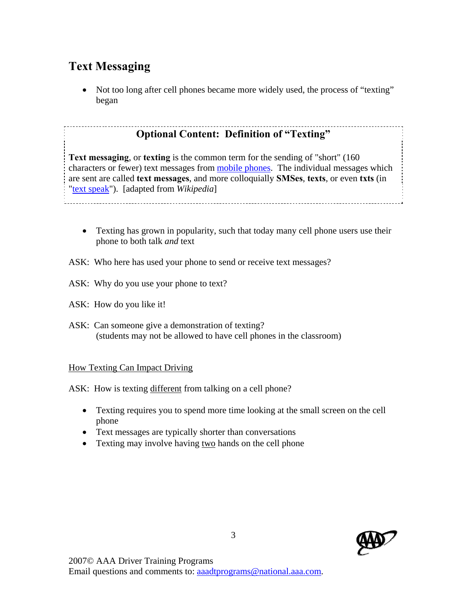# **Text Messaging**

• Not too long after cell phones became more widely used, the process of "texting" began

# **Optional Content: Definition of "Texting"**

**Text messaging**, or **texting** is the common term for the sending of "short" (160 characters or fewer) text messages from mobile phones. The individual messages which are sent are called **text messages**, and more colloquially **SMSes**, **texts**, or even **txts** (in "text speak"). [adapted from *Wikipedia*]

• Texting has grown in popularity, such that today many cell phone users use their phone to both talk *and* text

ASK: Who here has used your phone to send or receive text messages?

- ASK: Why do you use your phone to text?
- ASK: How do you like it!
- ASK: Can someone give a demonstration of texting? (students may not be allowed to have cell phones in the classroom)

## How Texting Can Impact Driving

ASK: How is texting different from talking on a cell phone?

- Texting requires you to spend more time looking at the small screen on the cell phone
- Text messages are typically shorter than conversations
- Texting may involve having two hands on the cell phone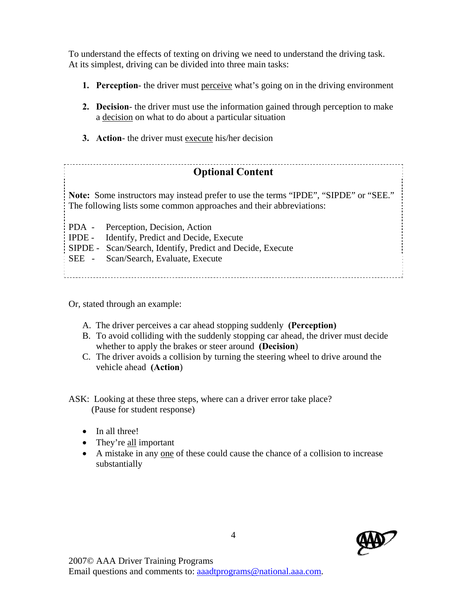To understand the effects of texting on driving we need to understand the driving task. At its simplest, driving can be divided into three main tasks:

- **1. Perception** the driver must perceive what's going on in the driving environment
- **2. Decision** the driver must use the information gained through perception to make a decision on what to do about a particular situation
- **3. Action** the driver must execute his/her decision

#### **Optional Content**

**Note:** Some instructors may instead prefer to use the terms "IPDE", "SIPDE" or "SEE." The following lists some common approaches and their abbreviations:

PDA - Perception, Decision, Action

IPDE - Identify, Predict and Decide, Execute

SIPDE - Scan/Search, Identify, Predict and Decide, Execute

SEE - Scan/Search, Evaluate, Execute

Or, stated through an example:

- A.The driver perceives a car ahead stopping suddenly **(Perception)**
- B. To avoid colliding with the suddenly stopping car ahead, the driver must decide whether to apply the brakes or steer around **(Decision**)
- C. The driver avoids a collision by turning the steering wheel to drive around the vehicle ahead **(Action**)

ASK: Looking at these three steps, where can a driver error take place? (Pause for student response)

- In all three!
- They're all important
- A mistake in any one of these could cause the chance of a collision to increase substantially

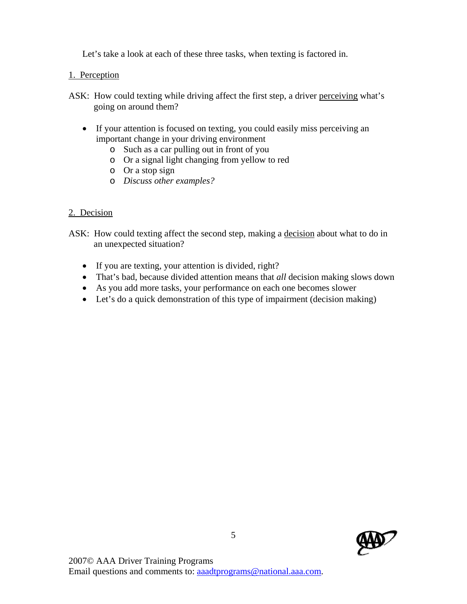Let's take a look at each of these three tasks, when texting is factored in.

# 1. Perception

- ASK: How could texting while driving affect the first step, a driver perceiving what's going on around them?
	- If your attention is focused on texting, you could easily miss perceiving an important change in your driving environment
		- o Such as a car pulling out in front of you
		- o Or a signal light changing from yellow to red
		- o Or a stop sign
		- o *Discuss other examples?*

# 2. Decision

- ASK: How could texting affect the second step, making a decision about what to do in an unexpected situation?
	- If you are texting, your attention is divided, right?
	- That's bad, because divided attention means that *all* decision making slows down
	- As you add more tasks, your performance on each one becomes slower
	- Let's do a quick demonstration of this type of impairment (decision making)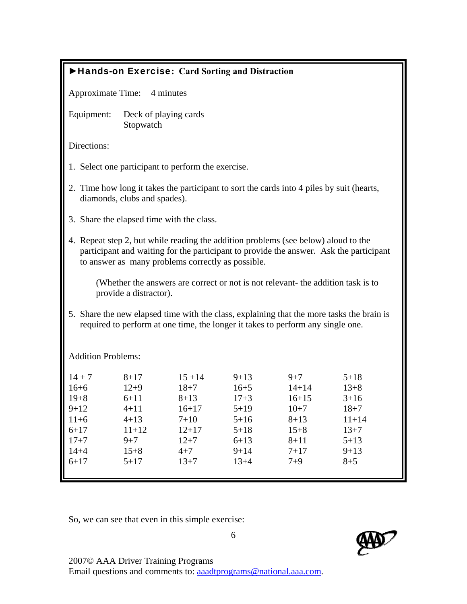| Hands-on Exercise: Card Sorting and Distraction                                                                                                                                                                                   |                                                                                                          |                                                                                                            |                                                                                                        |                                                                                                        |                                                                                                          |  |  |  |
|-----------------------------------------------------------------------------------------------------------------------------------------------------------------------------------------------------------------------------------|----------------------------------------------------------------------------------------------------------|------------------------------------------------------------------------------------------------------------|--------------------------------------------------------------------------------------------------------|--------------------------------------------------------------------------------------------------------|----------------------------------------------------------------------------------------------------------|--|--|--|
| Approximate Time: 4 minutes                                                                                                                                                                                                       |                                                                                                          |                                                                                                            |                                                                                                        |                                                                                                        |                                                                                                          |  |  |  |
| Equipment:                                                                                                                                                                                                                        | Deck of playing cards<br>Stopwatch                                                                       |                                                                                                            |                                                                                                        |                                                                                                        |                                                                                                          |  |  |  |
| Directions:                                                                                                                                                                                                                       |                                                                                                          |                                                                                                            |                                                                                                        |                                                                                                        |                                                                                                          |  |  |  |
| 1. Select one participant to perform the exercise.                                                                                                                                                                                |                                                                                                          |                                                                                                            |                                                                                                        |                                                                                                        |                                                                                                          |  |  |  |
| 2. Time how long it takes the participant to sort the cards into 4 piles by suit (hearts,<br>diamonds, clubs and spades).                                                                                                         |                                                                                                          |                                                                                                            |                                                                                                        |                                                                                                        |                                                                                                          |  |  |  |
| 3. Share the elapsed time with the class.                                                                                                                                                                                         |                                                                                                          |                                                                                                            |                                                                                                        |                                                                                                        |                                                                                                          |  |  |  |
| 4. Repeat step 2, but while reading the addition problems (see below) aloud to the<br>participant and waiting for the participant to provide the answer. Ask the participant<br>to answer as many problems correctly as possible. |                                                                                                          |                                                                                                            |                                                                                                        |                                                                                                        |                                                                                                          |  |  |  |
| (Whether the answers are correct or not is not relevant- the addition task is to<br>provide a distractor).                                                                                                                        |                                                                                                          |                                                                                                            |                                                                                                        |                                                                                                        |                                                                                                          |  |  |  |
| 5. Share the new elapsed time with the class, explaining that the more tasks the brain is<br>required to perform at one time, the longer it takes to perform any single one.                                                      |                                                                                                          |                                                                                                            |                                                                                                        |                                                                                                        |                                                                                                          |  |  |  |
| <b>Addition Problems:</b>                                                                                                                                                                                                         |                                                                                                          |                                                                                                            |                                                                                                        |                                                                                                        |                                                                                                          |  |  |  |
| $14 + 7$<br>$16 + 6$<br>$19 + 8$<br>$9 + 12$<br>$11+6$<br>$6 + 17$<br>$17 + 7$<br>$14 + 4$<br>$6 + 17$                                                                                                                            | $8 + 17$<br>$12 + 9$<br>$6 + 11$<br>$4 + 11$<br>$4 + 13$<br>$11 + 12$<br>$9 + 7$<br>$15 + 8$<br>$5 + 17$ | $15 + 14$<br>$18 + 7$<br>$8 + 13$<br>$16 + 17$<br>$7 + 10$<br>$12 + 17$<br>$12 + 7$<br>$4 + 7$<br>$13 + 7$ | $9 + 13$<br>$16 + 5$<br>$17 + 3$<br>$5 + 19$<br>$5 + 16$<br>$5 + 18$<br>$6 + 13$<br>$9 + 14$<br>$13+4$ | $9 + 7$<br>$14 + 14$<br>$16 + 15$<br>$10+7$<br>$8 + 13$<br>$15 + 8$<br>$8 + 11$<br>$7 + 17$<br>$7 + 9$ | $5 + 18$<br>$13 + 8$<br>$3 + 16$<br>$18 + 7$<br>$11 + 14$<br>$13 + 7$<br>$5 + 13$<br>$9 + 13$<br>$8 + 5$ |  |  |  |

So, we can see that even in this simple exercise:



2007© AAA Driver Training Programs

Email questions and comments to: aaadtprograms@national.aaa.com.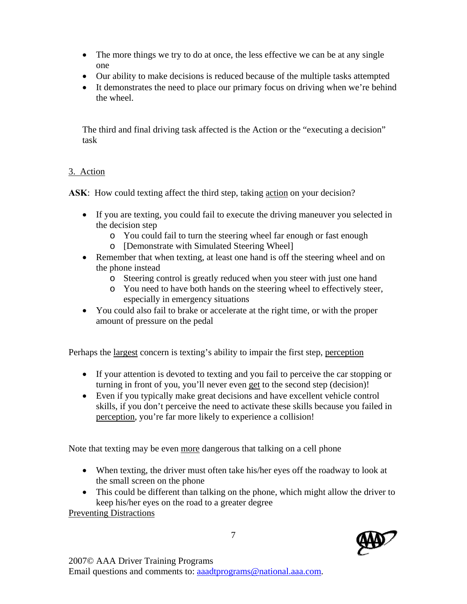- The more things we try to do at once, the less effective we can be at any single one
- Our ability to make decisions is reduced because of the multiple tasks attempted
- It demonstrates the need to place our primary focus on driving when we're behind the wheel.

The third and final driving task affected is the Action or the "executing a decision" task

# 3. Action

ASK: How could texting affect the third step, taking action on your decision?

- If you are texting, you could fail to execute the driving maneuver you selected in the decision step
	- o You could fail to turn the steering wheel far enough or fast enough
	- o [Demonstrate with Simulated Steering Wheel]
- Remember that when texting, at least one hand is off the steering wheel and on the phone instead
	- o Steering control is greatly reduced when you steer with just one hand
	- o You need to have both hands on the steering wheel to effectively steer, especially in emergency situations
- You could also fail to brake or accelerate at the right time, or with the proper amount of pressure on the pedal

Perhaps the largest concern is texting's ability to impair the first step, perception

- If your attention is devoted to texting and you fail to perceive the car stopping or turning in front of you, you'll never even get to the second step (decision)!
- Even if you typically make great decisions and have excellent vehicle control skills, if you don't perceive the need to activate these skills because you failed in perception, you're far more likely to experience a collision!

Note that texting may be even more dangerous that talking on a cell phone

- When texting, the driver must often take his/her eyes off the roadway to look at the small screen on the phone
- This could be different than talking on the phone, which might allow the driver to keep his/her eyes on the road to a greater degree

Preventing Distractions